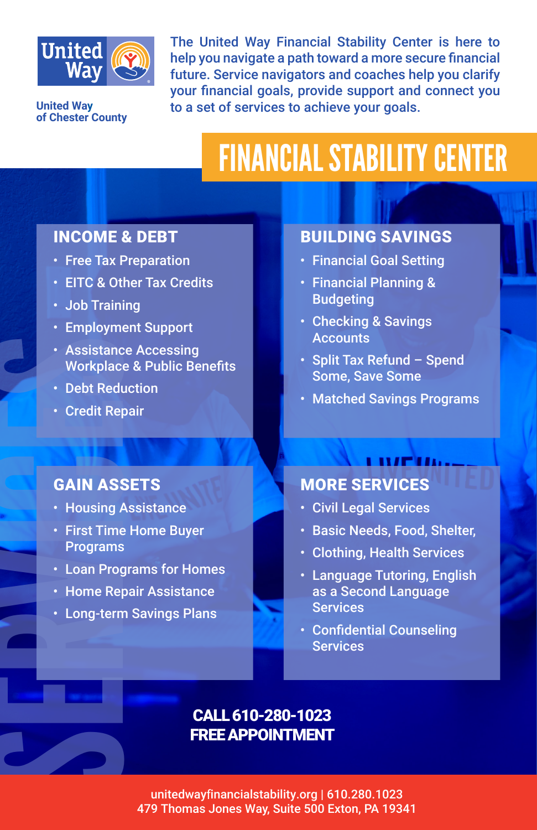

**United Way of Chester County** The United Way Financial Stability Center is here to help you navigate a path toward a more secure financial future. Service navigators and coaches help you clarify your financial goals, provide support and connect you to a set of services to achieve your goals.

# FINANCIAL STABILITY CENTER

#### INCOME & DEBT

- Free Tax Preparation
- EITC & Other Tax Credits
- Job Training
- Employment Support
- Assistance Accessing Workplace & Public Benefits
- Debt Reduction
- Credit Repair

#### GAIN ASSETS

- Housing Assistance
- Substanting Marketing Control Control Control Control Control Control Control Control Control Control Control Control Control Control Control Control Control Control Control Control Control Control Control Control Control • First Time Home Buyer Programs
	- Loan Programs for Homes
	- Home Repair Assistance
	- Long-term Savings Plans

#### BUILDING SAVINGS

- Financial Goal Setting
- Financial Planning & Budgeting
- Checking & Savings **Accounts**
- Split Tax Refund Spend Some, Save Some
- Matched Savings Programs

#### LIVETI MORE SERVICES

- Civil Legal Services
- Basic Needs, Food, Shelter,
- Clothing, Health Services
- Language Tutoring, English as a Second Language **Services**
- Confidential Counseling Services

#### CALL 610-280-1023 FREE APPOINTMENT

unitedwayfinancialstability.org | 610.280.1023 479 Thomas Jones Way, Suite 500 Exton, PA 19341